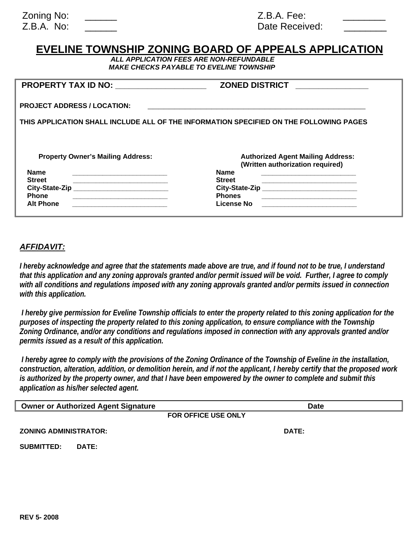| Zoning No: |  |
|------------|--|
| Z.B.A. No: |  |

 $Z.B.A.$  Fee: Date Received:

# **EVELINE TOWNSHIP ZONING BOARD OF APPEALS APPLICATION**

*ALL APPLICATION FEES ARE NON-REFUNDABLE MAKE CHECKS PAYABLE TO EVELINE TOWNSHIP* 

| <b>PROPERTY TAX ID NO:</b>               | <b>ZONED DISTRICT</b>                                                                  |
|------------------------------------------|----------------------------------------------------------------------------------------|
| <b>PROJECT ADDRESS / LOCATION:</b>       |                                                                                        |
|                                          | THIS APPLICATION SHALL INCLUDE ALL OF THE INFORMATION SPECIFIED ON THE FOLLOWING PAGES |
|                                          |                                                                                        |
|                                          |                                                                                        |
| <b>Property Owner's Mailing Address:</b> | <b>Authorized Agent Mailing Address:</b><br>(Written authorization required)           |
| <b>Name</b>                              | <b>Name</b>                                                                            |
| <b>Street</b>                            | <b>Street</b>                                                                          |
| City-State-Zip                           | City-State-Zip                                                                         |
| <b>Phone</b>                             | <b>Phones</b>                                                                          |

## *AFFIDAVIT:*

*I hereby acknowledge and agree that the statements made above are true, and if found not to be true, I understand that this application and any zoning approvals granted and/or permit issued will be void. Further, I agree to comply*  with all conditions and regulations imposed with any zoning approvals granted and/or permits issued in connection *with this application.* 

 *I hereby give permission for Eveline Township officials to enter the property related to this zoning application for the purposes of inspecting the property related to this zoning application, to ensure compliance with the Township Zoning Ordinance, and/or any conditions and regulations imposed in connection with any approvals granted and/or permits issued as a result of this application.* 

 *I hereby agree to comply with the provisions of the Zoning Ordinance of the Township of Eveline in the installation, construction, alteration, addition, or demolition herein, and if not the applicant, I hereby certify that the proposed work is authorized by the property owner, and that I have been empowered by the owner to complete and submit this application as his/her selected agent.* 

| <b>Owner or Authorized Agent Signature</b> |       | <b>Date</b>         |
|--------------------------------------------|-------|---------------------|
|                                            |       | FOR OFFICE USE ONLY |
| <b>ZONING ADMINISTRATOR:</b>               |       | DATE:               |
| <b>SUBMITTED:</b>                          | DATE: |                     |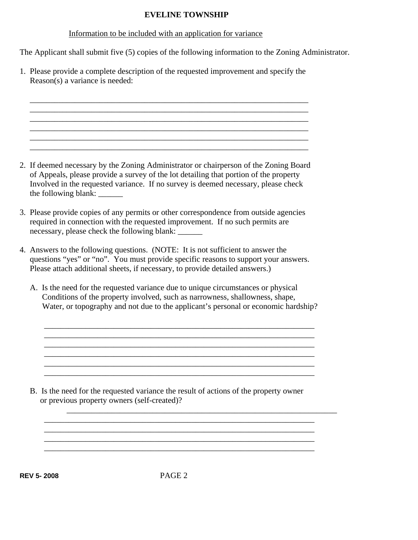## **EVELINE TOWNSHIP**

#### Information to be included with an application for variance

The Applicant shall submit five (5) copies of the following information to the Zoning Administrator.

1. Please provide a complete description of the requested improvement and specify the Reason(s) a variance is needed:

 \_\_\_\_\_\_\_\_\_\_\_\_\_\_\_\_\_\_\_\_\_\_\_\_\_\_\_\_\_\_\_\_\_\_\_\_\_\_\_\_\_\_\_\_\_\_\_\_\_\_\_\_\_\_\_\_\_\_\_\_\_\_\_\_\_\_\_\_ \_\_\_\_\_\_\_\_\_\_\_\_\_\_\_\_\_\_\_\_\_\_\_\_\_\_\_\_\_\_\_\_\_\_\_\_\_\_\_\_\_\_\_\_\_\_\_\_\_\_\_\_\_\_\_\_\_\_\_\_\_\_\_\_\_\_\_\_

 $\_$  , and the state of the state of the state of the state of the state of the state of the state of the state of the state of the state of the state of the state of the state of the state of the state of the state of the

 $\overline{\phantom{a}}$  , and the set of the set of the set of the set of the set of the set of the set of the set of the set of the set of the set of the set of the set of the set of the set of the set of the set of the set of the s

2. If deemed necessary by the Zoning Administrator or chairperson of the Zoning Board of Appeals, please provide a survey of the lot detailing that portion of the property Involved in the requested variance. If no survey is deemed necessary, please check the following blank: \_\_\_\_\_\_

\_\_\_\_\_\_\_\_\_\_\_\_\_\_\_\_\_\_\_\_\_\_\_\_\_\_\_\_\_\_\_\_\_\_\_\_\_\_\_\_\_\_\_\_\_\_\_\_\_\_\_\_\_\_\_\_\_\_\_\_\_\_\_\_\_\_\_\_

\_\_\_\_\_\_\_\_\_\_\_\_\_\_\_\_\_\_\_\_\_\_\_\_\_\_\_\_\_\_\_\_\_\_\_\_\_\_\_\_\_\_\_\_\_\_\_\_\_\_\_\_\_\_\_\_\_\_\_\_\_\_\_\_\_\_\_\_

- 3. Please provide copies of any permits or other correspondence from outside agencies required in connection with the requested improvement. If no such permits are necessary, please check the following blank: \_\_\_\_\_\_\_
- 4. Answers to the following questions. (NOTE: It is not sufficient to answer the questions "yes" or "no". You must provide specific reasons to support your answers. Please attach additional sheets, if necessary, to provide detailed answers.)
	- A. Is the need for the requested variance due to unique circumstances or physical Conditions of the property involved, such as narrowness, shallowness, shape, Water, or topography and not due to the applicant's personal or economic hardship?

\_\_\_\_\_\_\_\_\_\_\_\_\_\_\_\_\_\_\_\_\_\_\_\_\_\_\_\_\_\_\_\_\_\_\_\_\_\_\_\_\_\_\_\_\_\_\_\_\_\_\_\_\_\_\_\_\_\_\_\_\_\_\_\_\_\_

\_\_\_\_\_\_\_\_\_\_\_\_\_\_\_\_\_\_\_\_\_\_\_\_\_\_\_\_\_\_\_\_\_\_\_\_\_\_\_\_\_\_\_\_\_\_\_\_\_\_\_\_\_\_\_\_\_\_\_\_\_\_\_\_\_\_

 $\overline{\phantom{a}}$  , and the contribution of the contribution of the contribution of the contribution of the contribution of  $\overline{\phantom{a}}$ \_\_\_\_\_\_\_\_\_\_\_\_\_\_\_\_\_\_\_\_\_\_\_\_\_\_\_\_\_\_\_\_\_\_\_\_\_\_\_\_\_\_\_\_\_\_\_\_\_\_\_\_\_\_\_\_\_\_\_\_\_\_\_\_\_\_

 B. Is the need for the requested variance the result of actions of the property owner or previous property owners (self-created)?

**REV 5- 2008**PAGE 2

\_\_\_\_\_\_\_\_\_\_\_\_\_\_\_\_\_\_\_\_\_\_\_\_\_\_\_\_\_\_\_\_\_\_\_\_\_\_\_\_\_\_\_\_\_\_\_\_\_\_\_\_\_\_\_\_\_\_\_\_\_\_\_\_\_\_  $\ldots$  . The contribution of the contribution of the contribution of the contribution of the contribution of the contribution of  $\alpha$